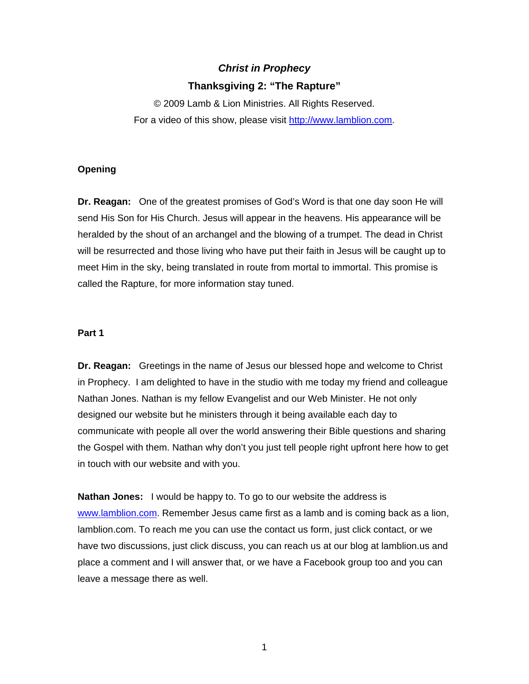# *Christ in Prophecy*  **Thanksgiving 2: "The Rapture"**

© 2009 Lamb & Lion Ministries. All Rights Reserved. For a video of this show, please visit [http://www.lamblion.com.](http://www.lamblion.com/)

### **Opening**

**Dr. Reagan:** One of the greatest promises of God's Word is that one day soon He will send His Son for His Church. Jesus will appear in the heavens. His appearance will be heralded by the shout of an archangel and the blowing of a trumpet. The dead in Christ will be resurrected and those living who have put their faith in Jesus will be caught up to meet Him in the sky, being translated in route from mortal to immortal. This promise is called the Rapture, for more information stay tuned.

## **Part 1**

**Dr. Reagan:** Greetings in the name of Jesus our blessed hope and welcome to Christ in Prophecy. I am delighted to have in the studio with me today my friend and colleague Nathan Jones. Nathan is my fellow Evangelist and our Web Minister. He not only designed our website but he ministers through it being available each day to communicate with people all over the world answering their Bible questions and sharing the Gospel with them. Nathan why don't you just tell people right upfront here how to get in touch with our website and with you.

**Nathan Jones:** I would be happy to. To go to our website the address is [www.lamblion.com.](http://www.lamblion.com/) Remember Jesus came first as a lamb and is coming back as a lion, lamblion.com. To reach me you can use the contact us form, just click contact, or we have two discussions, just click discuss, you can reach us at our blog at lamblion.us and place a comment and I will answer that, or we have a Facebook group too and you can leave a message there as well.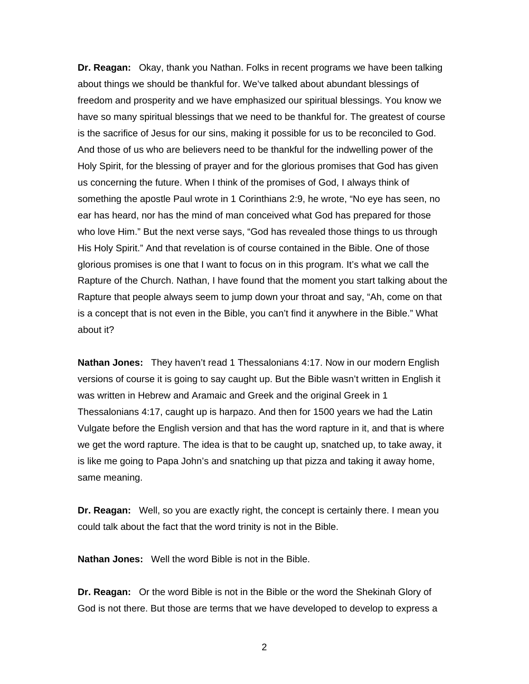**Dr. Reagan:** Okay, thank you Nathan. Folks in recent programs we have been talking about things we should be thankful for. We've talked about abundant blessings of freedom and prosperity and we have emphasized our spiritual blessings. You know we have so many spiritual blessings that we need to be thankful for. The greatest of course is the sacrifice of Jesus for our sins, making it possible for us to be reconciled to God. And those of us who are believers need to be thankful for the indwelling power of the Holy Spirit, for the blessing of prayer and for the glorious promises that God has given us concerning the future. When I think of the promises of God, I always think of something the apostle Paul wrote in 1 Corinthians 2:9, he wrote, "No eye has seen, no ear has heard, nor has the mind of man conceived what God has prepared for those who love Him." But the next verse says, "God has revealed those things to us through His Holy Spirit." And that revelation is of course contained in the Bible. One of those glorious promises is one that I want to focus on in this program. It's what we call the Rapture of the Church. Nathan, I have found that the moment you start talking about the Rapture that people always seem to jump down your throat and say, "Ah, come on that is a concept that is not even in the Bible, you can't find it anywhere in the Bible." What about it?

**Nathan Jones:** They haven't read 1 Thessalonians 4:17. Now in our modern English versions of course it is going to say caught up. But the Bible wasn't written in English it was written in Hebrew and Aramaic and Greek and the original Greek in 1 Thessalonians 4:17, caught up is harpazo. And then for 1500 years we had the Latin Vulgate before the English version and that has the word rapture in it, and that is where we get the word rapture. The idea is that to be caught up, snatched up, to take away, it is like me going to Papa John's and snatching up that pizza and taking it away home, same meaning.

**Dr. Reagan:** Well, so you are exactly right, the concept is certainly there. I mean you could talk about the fact that the word trinity is not in the Bible.

**Nathan Jones:** Well the word Bible is not in the Bible.

**Dr. Reagan:** Or the word Bible is not in the Bible or the word the Shekinah Glory of God is not there. But those are terms that we have developed to develop to express a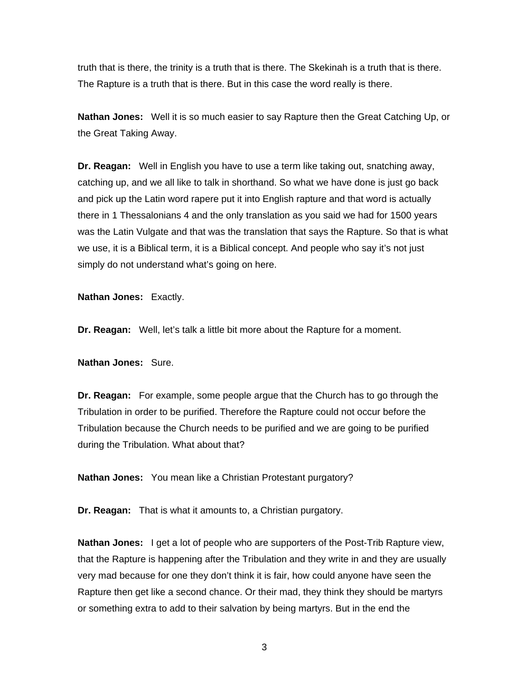truth that is there, the trinity is a truth that is there. The Skekinah is a truth that is there. The Rapture is a truth that is there. But in this case the word really is there.

**Nathan Jones:** Well it is so much easier to say Rapture then the Great Catching Up, or the Great Taking Away.

**Dr. Reagan:** Well in English you have to use a term like taking out, snatching away, catching up, and we all like to talk in shorthand. So what we have done is just go back and pick up the Latin word rapere put it into English rapture and that word is actually there in 1 Thessalonians 4 and the only translation as you said we had for 1500 years was the Latin Vulgate and that was the translation that says the Rapture. So that is what we use, it is a Biblical term, it is a Biblical concept. And people who say it's not just simply do not understand what's going on here.

**Nathan Jones:** Exactly.

**Dr. Reagan:** Well, let's talk a little bit more about the Rapture for a moment.

**Nathan Jones:** Sure.

**Dr. Reagan:** For example, some people argue that the Church has to go through the Tribulation in order to be purified. Therefore the Rapture could not occur before the Tribulation because the Church needs to be purified and we are going to be purified during the Tribulation. What about that?

**Nathan Jones:** You mean like a Christian Protestant purgatory?

**Dr. Reagan:** That is what it amounts to, a Christian purgatory.

**Nathan Jones:** I get a lot of people who are supporters of the Post-Trib Rapture view, that the Rapture is happening after the Tribulation and they write in and they are usually very mad because for one they don't think it is fair, how could anyone have seen the Rapture then get like a second chance. Or their mad, they think they should be martyrs or something extra to add to their salvation by being martyrs. But in the end the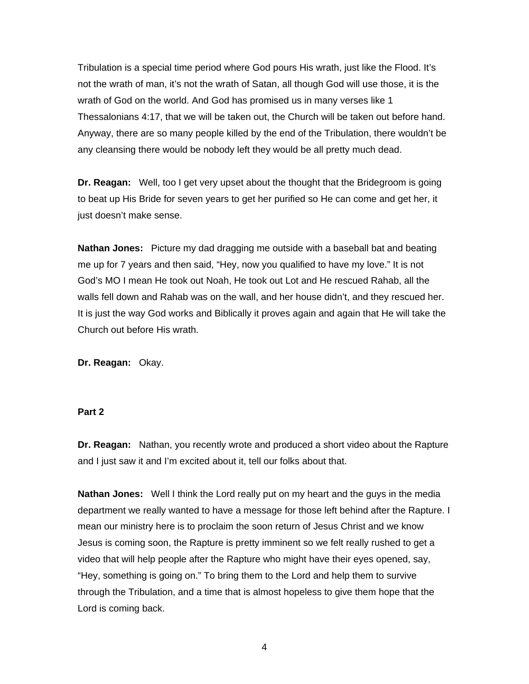Tribulation is a special time period where God pours His wrath, just like the Flood. It's not the wrath of man, it's not the wrath of Satan, all though God will use those, it is the wrath of God on the world. And God has promised us in many verses like 1 Thessalonians 4:17, that we will be taken out, the Church will be taken out before hand. Anyway, there are so many people killed by the end of the Tribulation, there wouldn't be any cleansing there would be nobody left they would be all pretty much dead.

**Dr. Reagan:** Well, too I get very upset about the thought that the Bridegroom is going to beat up His Bride for seven years to get her purified so He can come and get her, it just doesn't make sense.

**Nathan Jones:** Picture my dad dragging me outside with a baseball bat and beating me up for 7 years and then said, "Hey, now you qualified to have my love." It is not God's MO I mean He took out Noah, He took out Lot and He rescued Rahab, all the walls fell down and Rahab was on the wall, and her house didn't, and they rescued her. It is just the way God works and Biblically it proves again and again that He will take the Church out before His wrath.

**Dr. Reagan:** Okay.

#### **Part 2**

**Dr. Reagan:** Nathan, you recently wrote and produced a short video about the Rapture and I just saw it and I'm excited about it, tell our folks about that.

**Nathan Jones:** Well I think the Lord really put on my heart and the guys in the media department we really wanted to have a message for those left behind after the Rapture. I mean our ministry here is to proclaim the soon return of Jesus Christ and we know Jesus is coming soon, the Rapture is pretty imminent so we felt really rushed to get a video that will help people after the Rapture who might have their eyes opened, say, "Hey, something is going on." To bring them to the Lord and help them to survive through the Tribulation, and a time that is almost hopeless to give them hope that the Lord is coming back.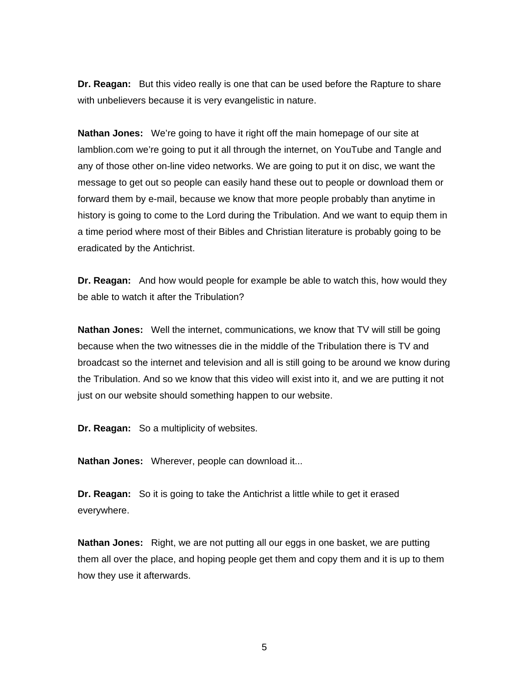**Dr. Reagan:** But this video really is one that can be used before the Rapture to share with unbelievers because it is very evangelistic in nature.

**Nathan Jones:** We're going to have it right off the main homepage of our site at lamblion.com we're going to put it all through the internet, on YouTube and Tangle and any of those other on-line video networks. We are going to put it on disc, we want the message to get out so people can easily hand these out to people or download them or forward them by e-mail, because we know that more people probably than anytime in history is going to come to the Lord during the Tribulation. And we want to equip them in a time period where most of their Bibles and Christian literature is probably going to be eradicated by the Antichrist.

**Dr. Reagan:** And how would people for example be able to watch this, how would they be able to watch it after the Tribulation?

**Nathan Jones:** Well the internet, communications, we know that TV will still be going because when the two witnesses die in the middle of the Tribulation there is TV and broadcast so the internet and television and all is still going to be around we know during the Tribulation. And so we know that this video will exist into it, and we are putting it not just on our website should something happen to our website.

**Dr. Reagan:** So a multiplicity of websites.

**Nathan Jones:** Wherever, people can download it...

**Dr. Reagan:** So it is going to take the Antichrist a little while to get it erased everywhere.

**Nathan Jones:** Right, we are not putting all our eggs in one basket, we are putting them all over the place, and hoping people get them and copy them and it is up to them how they use it afterwards.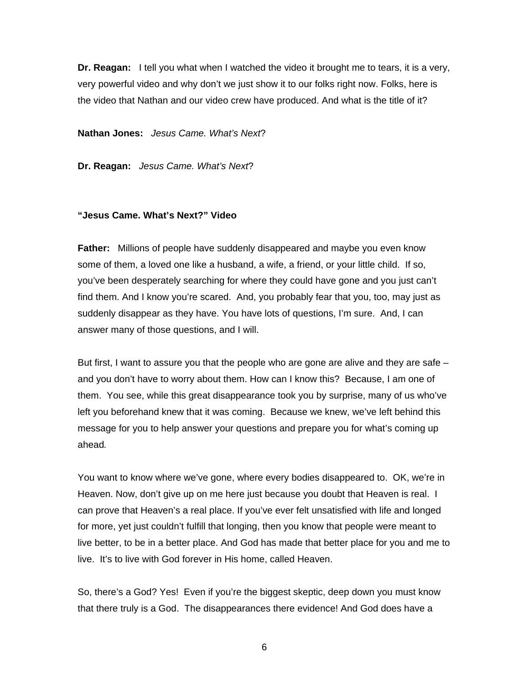**Dr. Reagan:** I tell you what when I watched the video it brought me to tears, it is a very, very powerful video and why don't we just show it to our folks right now. Folks, here is the video that Nathan and our video crew have produced. And what is the title of it?

**Nathan Jones:** *Jesus Came. What's Next*?

**Dr. Reagan:** *Jesus Came. What's Next*?

#### **"Jesus Came. What's Next?" Video**

**Father:** Millions of people have suddenly disappeared and maybe you even know some of them, a loved one like a husband, a wife, a friend, or your little child. If so, you've been desperately searching for where they could have gone and you just can't find them. And I know you're scared. And, you probably fear that you, too, may just as suddenly disappear as they have. You have lots of questions, I'm sure. And, I can answer many of those questions, and I will.

But first, I want to assure you that the people who are gone are alive and they are safe – and you don't have to worry about them. How can I know this? Because, I am one of them. You see, while this great disappearance took you by surprise, many of us who've left you beforehand knew that it was coming. Because we knew, we've left behind this message for you to help answer your questions and prepare you for what's coming up ahead*.* 

You want to know where we've gone, where every bodies disappeared to. OK, we're in Heaven. Now, don't give up on me here just because you doubt that Heaven is real. I can prove that Heaven's a real place. If you've ever felt unsatisfied with life and longed for more, yet just couldn't fulfill that longing, then you know that people were meant to live better, to be in a better place. And God has made that better place for you and me to live. It's to live with God forever in His home, called Heaven.

So, there's a God? Yes! Even if you're the biggest skeptic, deep down you must know that there truly is a God. The disappearances there evidence! And God does have a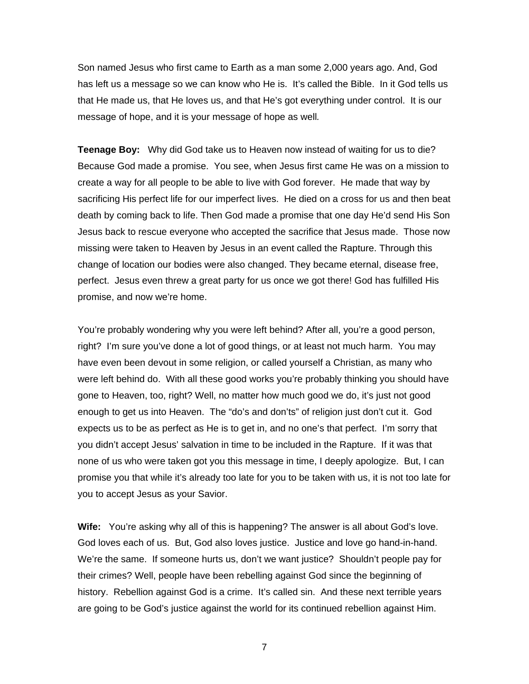Son named Jesus who first came to Earth as a man some 2,000 years ago. And, God has left us a message so we can know who He is. It's called the Bible. In it God tells us that He made us, that He loves us, and that He's got everything under control. It is our message of hope, and it is your message of hope as well*.* 

**Teenage Boy:** Why did God take us to Heaven now instead of waiting for us to die? Because God made a promise. You see, when Jesus first came He was on a mission to create a way for all people to be able to live with God forever. He made that way by sacrificing His perfect life for our imperfect lives. He died on a cross for us and then beat death by coming back to life. Then God made a promise that one day He'd send His Son Jesus back to rescue everyone who accepted the sacrifice that Jesus made. Those now missing were taken to Heaven by Jesus in an event called the Rapture. Through this change of location our bodies were also changed. They became eternal, disease free, perfect. Jesus even threw a great party for us once we got there! God has fulfilled His promise, and now we're home.

You're probably wondering why you were left behind? After all, you're a good person, right? I'm sure you've done a lot of good things, or at least not much harm. You may have even been devout in some religion, or called yourself a Christian, as many who were left behind do. With all these good works you're probably thinking you should have gone to Heaven, too, right? Well, no matter how much good we do, it's just not good enough to get us into Heaven. The "do's and don'ts" of religion just don't cut it. God expects us to be as perfect as He is to get in, and no one's that perfect. I'm sorry that you didn't accept Jesus' salvation in time to be included in the Rapture. If it was that none of us who were taken got you this message in time, I deeply apologize. But, I can promise you that while it's already too late for you to be taken with us, it is not too late for you to accept Jesus as your Savior.

**Wife:** You're asking why all of this is happening? The answer is all about God's love. God loves each of us. But, God also loves justice. Justice and love go hand-in-hand. We're the same. If someone hurts us, don't we want justice? Shouldn't people pay for their crimes? Well, people have been rebelling against God since the beginning of history. Rebellion against God is a crime. It's called sin. And these next terrible years are going to be God's justice against the world for its continued rebellion against Him.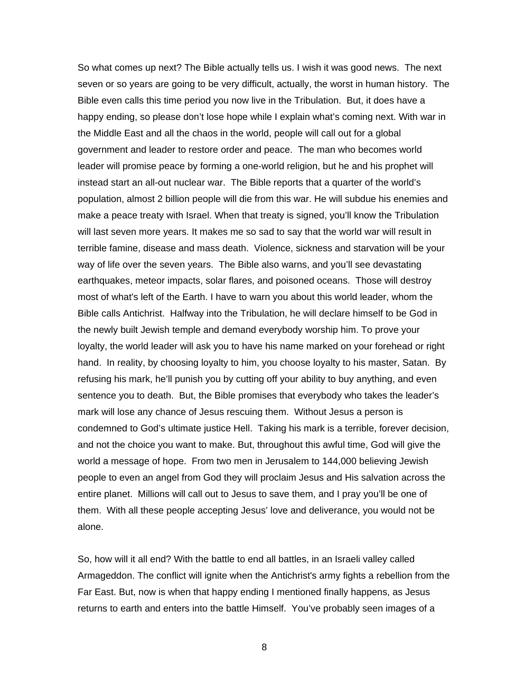So what comes up next? The Bible actually tells us. I wish it was good news. The next seven or so years are going to be very difficult, actually, the worst in human history. The Bible even calls this time period you now live in the Tribulation. But, it does have a happy ending, so please don't lose hope while I explain what's coming next. With war in the Middle East and all the chaos in the world, people will call out for a global government and leader to restore order and peace. The man who becomes world leader will promise peace by forming a one-world religion, but he and his prophet will instead start an all-out nuclear war. The Bible reports that a quarter of the world's population, almost 2 billion people will die from this war. He will subdue his enemies and make a peace treaty with Israel. When that treaty is signed, you'll know the Tribulation will last seven more years. It makes me so sad to say that the world war will result in terrible famine, disease and mass death. Violence, sickness and starvation will be your way of life over the seven years. The Bible also warns, and you'll see devastating earthquakes, meteor impacts, solar flares, and poisoned oceans. Those will destroy most of what's left of the Earth. I have to warn you about this world leader, whom the Bible calls Antichrist. Halfway into the Tribulation, he will declare himself to be God in the newly built Jewish temple and demand everybody worship him. To prove your loyalty, the world leader will ask you to have his name marked on your forehead or right hand. In reality, by choosing loyalty to him, you choose loyalty to his master, Satan. By refusing his mark, he'll punish you by cutting off your ability to buy anything, and even sentence you to death. But, the Bible promises that everybody who takes the leader's mark will lose any chance of Jesus rescuing them. Without Jesus a person is condemned to God's ultimate justice Hell. Taking his mark is a terrible, forever decision, and not the choice you want to make. But, throughout this awful time, God will give the world a message of hope. From two men in Jerusalem to 144,000 believing Jewish people to even an angel from God they will proclaim Jesus and His salvation across the entire planet. Millions will call out to Jesus to save them, and I pray you'll be one of them. With all these people accepting Jesus' love and deliverance, you would not be alone.

So, how will it all end? With the battle to end all battles, in an Israeli valley called Armageddon. The conflict will ignite when the Antichrist's army fights a rebellion from the Far East. But, now is when that happy ending I mentioned finally happens, as Jesus returns to earth and enters into the battle Himself. You've probably seen images of a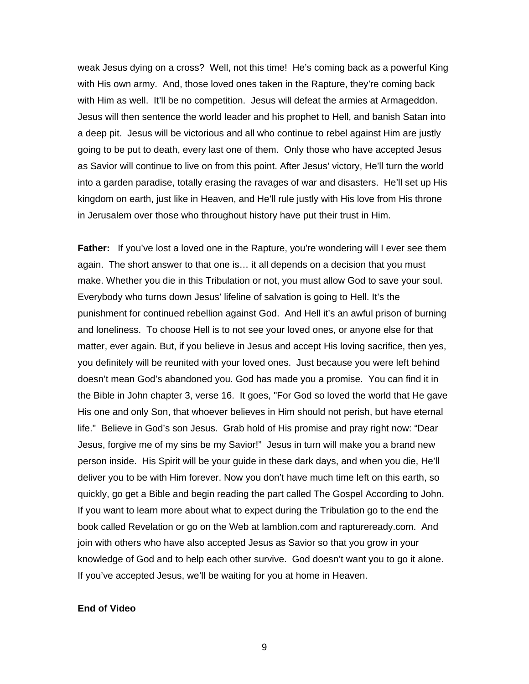weak Jesus dying on a cross? Well, not this time! He's coming back as a powerful King with His own army. And, those loved ones taken in the Rapture, they're coming back with Him as well. It'll be no competition. Jesus will defeat the armies at Armageddon. Jesus will then sentence the world leader and his prophet to Hell, and banish Satan into a deep pit. Jesus will be victorious and all who continue to rebel against Him are justly going to be put to death, every last one of them. Only those who have accepted Jesus as Savior will continue to live on from this point. After Jesus' victory, He'll turn the world into a garden paradise, totally erasing the ravages of war and disasters. He'll set up His kingdom on earth, just like in Heaven, and He'll rule justly with His love from His throne in Jerusalem over those who throughout history have put their trust in Him.

**Father:** If you've lost a loved one in the Rapture, you're wondering will I ever see them again. The short answer to that one is… it all depends on a decision that you must make. Whether you die in this Tribulation or not, you must allow God to save your soul. Everybody who turns down Jesus' lifeline of salvation is going to Hell. It's the punishment for continued rebellion against God. And Hell it's an awful prison of burning and loneliness. To choose Hell is to not see your loved ones, or anyone else for that matter, ever again. But, if you believe in Jesus and accept His loving sacrifice, then yes, you definitely will be reunited with your loved ones. Just because you were left behind doesn't mean God's abandoned you. God has made you a promise. You can find it in the Bible in John chapter 3, verse 16. It goes, "For God so loved the world that He gave His one and only Son, that whoever believes in Him should not perish, but have eternal life." Believe in God's son Jesus. Grab hold of His promise and pray right now: "Dear Jesus, forgive me of my sins be my Savior!" Jesus in turn will make you a brand new person inside. His Spirit will be your guide in these dark days, and when you die, He'll deliver you to be with Him forever. Now you don't have much time left on this earth, so quickly, go get a Bible and begin reading the part called The Gospel According to John. If you want to learn more about what to expect during the Tribulation go to the end the book called Revelation or go on the Web at lamblion.com and raptureready.com. And join with others who have also accepted Jesus as Savior so that you grow in your knowledge of God and to help each other survive. God doesn't want you to go it alone. If you've accepted Jesus, we'll be waiting for you at home in Heaven.

#### **End of Video**